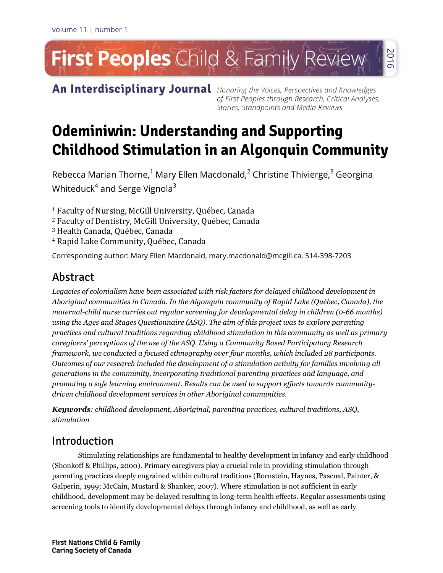# First Peoples Child & Family Review 2016

An Interdisciplinary Journal Honoring the Voices, Perspectives and Knowledges

of First Peoples through Research, Critical Analyses, Stories, Standpoints and Media Reviews

# **Odeminiwin: Understanding and Supporting Childhood Stimulation in an Algonguin Community**

Rebecca Marian Thorne,<sup>1</sup> Mary Ellen Macdonald,<sup>2</sup> Christine Thivierge,<sup>3</sup> Georgina Whiteduck $^4$  and Serge Vignola $^3$ 

<sup>1</sup> Faculty of Nursing, McGill University, Québec, Canada

- <sup>2</sup> Faculty of Dentistry, McGill University, Québec, Canada
- <sup>3</sup> Health Canada, Québec, Canada
- <sup>4</sup> Rapid Lake Community, Québec, Canada

Corresponding author: Mary Ellen Macdonald, mary.macdonald@mcgill.ca, 514-398-7203

# Abstract

*Legacies of colonialism have been associated with risk factors for delayed childhood development in Aboriginal communities in Canada. In the Algonquin community of Rapid Lake (Québec, Canada), the maternal-child nurse carries out regular screening for developmental delay in children (0-66 months) using the Ages and Stages Questionnaire (ASQ). The aim of this project was to explore parenting practices and cultural traditions regarding childhood stimulation in this community as well as primary caregivers' perceptions of the use of the ASQ. Using a Community Based Participatory Research framework, we conducted a focused ethnography over four months, which included 28 participants. Outcomes of our research included the development of a stimulation activity for families involving all generations in the community, incorporating traditional parenting practices and language, and promoting a safe learning environment. Results can be used to support efforts towards communitydriven childhood development services in other Aboriginal communities.* 

*Keywords: childhood development, Aboriginal, parenting practices, cultural traditions, ASQ, stimulation*

# Introduction

Stimulating relationships are fundamental to healthy development in infancy and early childhood (Shonkoff & Phillips, 2000). Primary caregivers play a crucial role in providing stimulation through parenting practices deeply engrained within cultural traditions (Bornstein, Haynes, Pascual, Painter, & Galperin, 1999; McCain, Mustard & Shanker, 2007). Where stimulation is not sufficient in early childhood, development may be delayed resulting in long-term health effects. Regular assessments using screening tools to identify developmental delays through infancy and childhood, as well as early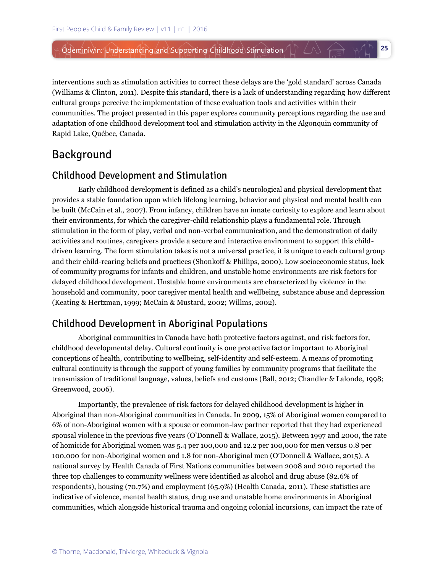interventions such as stimulation activities to correct these delays are the 'gold standard' across Canada (Williams & Clinton, 2011). Despite this standard, there is a lack of understanding regarding how different cultural groups perceive the implementation of these evaluation tools and activities within their communities. The project presented in this paper explores community perceptions regarding the use and adaptation of one childhood development tool and stimulation activity in the Algonquin community of Rapid Lake, Québec, Canada.

**25**

# **Background**

### **Childhood Development and Stimulation**

Early childhood development is defined as a child's neurological and physical development that provides a stable foundation upon which lifelong learning, behavior and physical and mental health can be built (McCain et al., 2007). From infancy, children have an innate curiosity to explore and learn about their environments, for which the caregiver-child relationship plays a fundamental role. Through stimulation in the form of play, verbal and non-verbal communication, and the demonstration of daily activities and routines, caregivers provide a secure and interactive environment to support this childdriven learning. The form stimulation takes is not a universal practice, it is unique to each cultural group and their child-rearing beliefs and practices (Shonkoff & Phillips, 2000). Low socioeconomic status, lack of community programs for infants and children, and unstable home environments are risk factors for delayed childhood development. Unstable home environments are characterized by violence in the household and community, poor caregiver mental health and wellbeing, substance abuse and depression (Keating & Hertzman, 1999; McCain & Mustard, 2002; Willms, 2002).

# **Childhood Development in Aboriginal Populations**

Aboriginal communities in Canada have both protective factors against, and risk factors for, childhood developmental delay. Cultural continuity is one protective factor important to Aboriginal conceptions of health, contributing to wellbeing, self-identity and self-esteem. A means of promoting cultural continuity is through the support of young families by community programs that facilitate the transmission of traditional language, values, beliefs and customs (Ball, 2012; Chandler & Lalonde, 1998; Greenwood, 2006).

Importantly, the prevalence of risk factors for delayed childhood development is higher in Aboriginal than non-Aboriginal communities in Canada. In 2009, 15% of Aboriginal women compared to 6% of non-Aboriginal women with a spouse or common-law partner reported that they had experienced spousal violence in the previous five years (O'Donnell & Wallace, 2015). Between 1997 and 2000, the rate of homicide for Aboriginal women was 5.4 per 100,000 and 12.2 per 100,000 for men versus 0.8 per 100,000 for non-Aboriginal women and 1.8 for non-Aboriginal men (O'Donnell & Wallace, 2015). A national survey by Health Canada of First Nations communities between 2008 and 2010 reported the three top challenges to community wellness were identified as alcohol and drug abuse (82.6% of respondents), housing (70.7%) and employment (65.9%) (Health Canada, 2011). These statistics are indicative of violence, mental health status, drug use and unstable home environments in Aboriginal communities, which alongside historical trauma and ongoing colonial incursions, can impact the rate of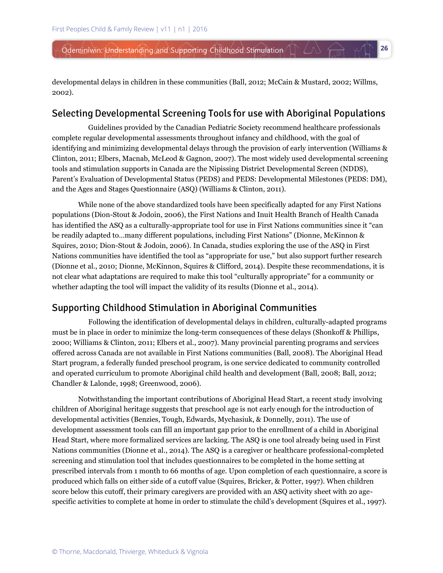developmental delays in children in these communities (Ball, 2012; McCain & Mustard, 2002; Willms, 2002).

**26**

 $\triangle$   $\leftrightarrow$ 

### Selecting Developmental Screening Tools for use with Aboriginal Populations

Guidelines provided by the Canadian Pediatric Society recommend healthcare professionals complete regular developmental assessments throughout infancy and childhood, with the goal of identifying and minimizing developmental delays through the provision of early intervention (Williams & Clinton, 2011; Elbers, Macnab, McLeod & Gagnon, 2007). The most widely used developmental screening tools and stimulation supports in Canada are the Nipissing District Developmental Screen (NDDS), Parent's Evaluation of Developmental Status (PEDS) and PEDS: Developmental Milestones (PEDS: DM), and the Ages and Stages Questionnaire (ASQ) (Williams & Clinton, 2011).

While none of the above standardized tools have been specifically adapted for any First Nations populations (Dion-Stout & Jodoin, 2006), the First Nations and Inuit Health Branch of Health Canada has identified the ASQ as a culturally-appropriate tool for use in First Nations communities since it "can be readily adapted to…many different populations, including First Nations" (Dionne, McKinnon & Squires, 2010; Dion-Stout & Jodoin, 2006). In Canada, studies exploring the use of the ASQ in First Nations communities have identified the tool as "appropriate for use," but also support further research (Dionne et al., 2010; Dionne, McKinnon, Squires & Clifford, 2014). Despite these recommendations, it is not clear what adaptations are required to make this tool "culturally appropriate" for a community or whether adapting the tool will impact the validity of its results (Dionne et al., 2014).

### **Supporting Childhood Stimulation in Aboriginal Communities**

Following the identification of developmental delays in children, culturally-adapted programs must be in place in order to minimize the long-term consequences of these delays (Shonkoff & Phillips, 2000; Williams & Clinton, 2011; Elbers et al., 2007). Many provincial parenting programs and services offered across Canada are not available in First Nations communities (Ball, 2008). The Aboriginal Head Start program, a federally funded preschool program, is one service dedicated to community controlled and operated curriculum to promote Aboriginal child health and development (Ball, 2008; Ball, 2012; Chandler & Lalonde, 1998; Greenwood, 2006).

Notwithstanding the important contributions of Aboriginal Head Start, a recent study involving children of Aboriginal heritage suggests that preschool age is not early enough for the introduction of developmental activities (Benzies, Tough, Edwards, Mychasiuk, & Donnelly, 2011). The use of development assessment tools can fill an important gap prior to the enrollment of a child in Aboriginal Head Start, where more formalized services are lacking. The ASQ is one tool already being used in First Nations communities (Dionne et al., 2014). The ASQ is a caregiver or healthcare professional-completed screening and stimulation tool that includes questionnaires to be completed in the home setting at prescribed intervals from 1 month to 66 months of age. Upon completion of each questionnaire, a score is produced which falls on either side of a cutoff value (Squires, Bricker, & Potter, 1997). When children score below this cutoff, their primary caregivers are provided with an ASQ activity sheet with 20 agespecific activities to complete at home in order to stimulate the child's development (Squires et al., 1997).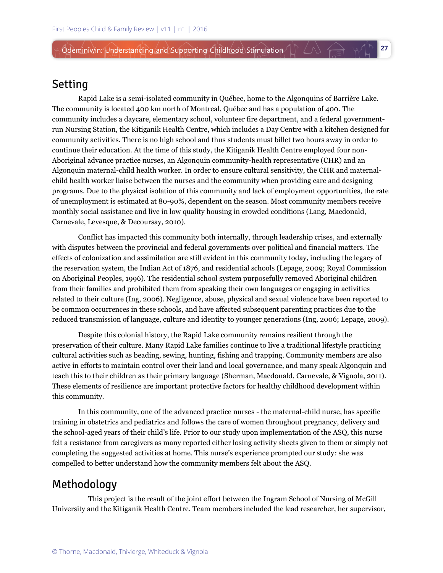# Setting

Rapid Lake is a semi-isolated community in Québec, home to the Algonquins of Barrière Lake. The community is located 400 km north of Montreal, Québec and has a population of 400. The community includes a daycare, elementary school, volunteer fire department, and a federal governmentrun Nursing Station, the Kitiganik Health Centre, which includes a Day Centre with a kitchen designed for community activities. There is no high school and thus students must billet two hours away in order to continue their education. At the time of this study, the Kitiganik Health Centre employed four non-Aboriginal advance practice nurses, an Algonquin community-health representative (CHR) and an Algonquin maternal-child health worker. In order to ensure cultural sensitivity, the CHR and maternalchild health worker liaise between the nurses and the community when providing care and designing programs. Due to the physical isolation of this community and lack of employment opportunities, the rate of unemployment is estimated at 80-90%, dependent on the season. Most community members receive monthly social assistance and live in low quality housing in crowded conditions (Lang, Macdonald, Carnevale, Levesque, & Decoursay, 2010).

**27**

 $\triangle$   $\triangle$   $\land$   $\Uparrow$ 

Conflict has impacted this community both internally, through leadership crises, and externally with disputes between the provincial and federal governments over political and financial matters. The effects of colonization and assimilation are still evident in this community today, including the legacy of the reservation system, the Indian Act of 1876, and residential schools (Lepage, 2009; Royal Commission on Aboriginal Peoples, 1996). The residential school system purposefully removed Aboriginal children from their families and prohibited them from speaking their own languages or engaging in activities related to their culture (Ing, 2006). Negligence, abuse, physical and sexual violence have been reported to be common occurrences in these schools, and have affected subsequent parenting practices due to the reduced transmission of language, culture and identity to younger generations (Ing, 2006; Lepage, 2009).

Despite this colonial history, the Rapid Lake community remains resilient through the preservation of their culture. Many Rapid Lake families continue to live a traditional lifestyle practicing cultural activities such as beading, sewing, hunting, fishing and trapping. Community members are also active in efforts to maintain control over their land and local governance, and many speak Algonquin and teach this to their children as their primary language (Sherman, Macdonald, Carnevale, & Vignola, 2011). These elements of resilience are important protective factors for healthy childhood development within this community.

In this community, one of the advanced practice nurses - the maternal-child nurse, has specific training in obstetrics and pediatrics and follows the care of women throughout pregnancy, delivery and the school-aged years of their child's life. Prior to our study upon implementation of the ASQ, this nurse felt a resistance from caregivers as many reported either losing activity sheets given to them or simply not completing the suggested activities at home. This nurse's experience prompted our study: she was compelled to better understand how the community members felt about the ASQ.

## Methodology

This project is the result of the joint effort between the Ingram School of Nursing of McGill University and the Kitiganik Health Centre. Team members included the lead researcher, her supervisor,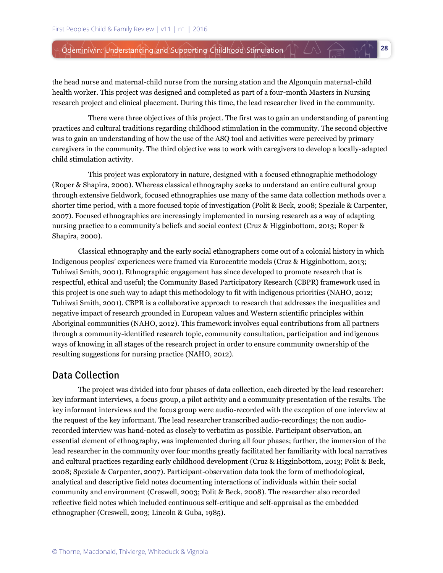the head nurse and maternal-child nurse from the nursing station and the Algonquin maternal-child health worker. This project was designed and completed as part of a four-month Masters in Nursing research project and clinical placement. During this time, the lead researcher lived in the community.

There were three objectives of this project. The first was to gain an understanding of parenting practices and cultural traditions regarding childhood stimulation in the community. The second objective was to gain an understanding of how the use of the ASQ tool and activities were perceived by primary caregivers in the community. The third objective was to work with caregivers to develop a locally-adapted child stimulation activity.

This project was exploratory in nature, designed with a focused ethnographic methodology (Roper & Shapira, 2000). Whereas classical ethnography seeks to understand an entire cultural group through extensive fieldwork, focused ethnographies use many of the same data collection methods over a shorter time period, with a more focused topic of investigation (Polit & Beck, 2008; Speziale & Carpenter, 2007). Focused ethnographies are increasingly implemented in nursing research as a way of adapting nursing practice to a community's beliefs and social context (Cruz & Higginbottom, 2013; Roper & Shapira, 2000).

Classical ethnography and the early social ethnographers come out of a colonial history in which Indigenous peoples' experiences were framed via Eurocentric models (Cruz & Higginbottom, 2013; Tuhiwai Smith, 2001). Ethnographic engagement has since developed to promote research that is respectful, ethical and useful; the Community Based Participatory Research (CBPR) framework used in this project is one such way to adapt this methodology to fit with indigenous priorities (NAHO, 2012; Tuhiwai Smith, 2001). CBPR is a collaborative approach to research that addresses the inequalities and negative impact of research grounded in European values and Western scientific principles within Aboriginal communities (NAHO, 2012). This framework involves equal contributions from all partners through a community-identified research topic, community consultation, participation and indigenous ways of knowing in all stages of the research project in order to ensure community ownership of the resulting suggestions for nursing practice (NAHO, 2012).

### **Data Collection**

The project was divided into four phases of data collection, each directed by the lead researcher: key informant interviews, a focus group, a pilot activity and a community presentation of the results. The key informant interviews and the focus group were audio-recorded with the exception of one interview at the request of the key informant. The lead researcher transcribed audio-recordings; the non audiorecorded interview was hand-noted as closely to verbatim as possible. Participant observation, an essential element of ethnography, was implemented during all four phases; further, the immersion of the lead researcher in the community over four months greatly facilitated her familiarity with local narratives and cultural practices regarding early childhood development (Cruz & Higginbottom, 2013; Polit & Beck, 2008; Speziale & Carpenter, 2007). Participant-observation data took the form of methodological, analytical and descriptive field notes documenting interactions of individuals within their social community and environment (Creswell, 2003; Polit & Beck, 2008). The researcher also recorded reflective field notes which included continuous self-critique and self-appraisal as the embedded ethnographer (Creswell, 2003; Lincoln & Guba, 1985).

**28**

 $\Lambda$   $\leftrightarrow$   $\Lambda$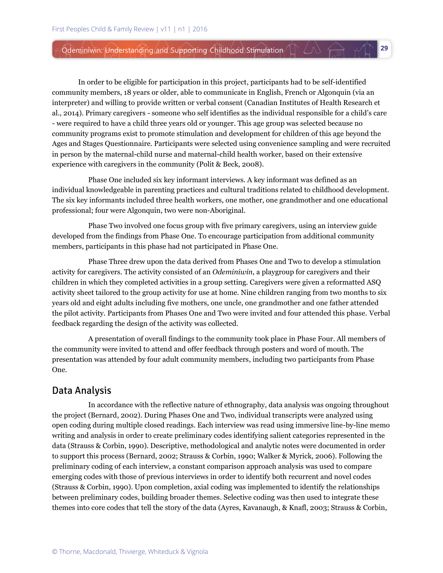In order to be eligible for participation in this project, participants had to be self-identified community members, 18 years or older, able to communicate in English, French or Algonquin (via an interpreter) and willing to provide written or verbal consent (Canadian Institutes of Health Research et al., 2014). Primary caregivers - someone who self identifies as the individual responsible for a child's care - were required to have a child three years old or younger. This age group was selected because no community programs exist to promote stimulation and development for children of this age beyond the Ages and Stages Questionnaire. Participants were selected using convenience sampling and were recruited in person by the maternal-child nurse and maternal-child health worker, based on their extensive experience with caregivers in the community (Polit & Beck, 2008).

Phase One included six key informant interviews. A key informant was defined as an individual knowledgeable in parenting practices and cultural traditions related to childhood development. The six key informants included three health workers, one mother, one grandmother and one educational professional; four were Algonquin, two were non-Aboriginal.

Phase Two involved one focus group with five primary caregivers, using an interview guide developed from the findings from Phase One. To encourage participation from additional community members, participants in this phase had not participated in Phase One.

Phase Three drew upon the data derived from Phases One and Two to develop a stimulation activity for caregivers. The activity consisted of an *Odeminiwin*, a playgroup for caregivers and their children in which they completed activities in a group setting. Caregivers were given a reformatted ASQ activity sheet tailored to the group activity for use at home. Nine children ranging from two months to six years old and eight adults including five mothers, one uncle, one grandmother and one father attended the pilot activity. Participants from Phases One and Two were invited and four attended this phase. Verbal feedback regarding the design of the activity was collected.

A presentation of overall findings to the community took place in Phase Four. All members of the community were invited to attend and offer feedback through posters and word of mouth. The presentation was attended by four adult community members, including two participants from Phase One.

### Data Analysis

In accordance with the reflective nature of ethnography, data analysis was ongoing throughout the project (Bernard, 2002). During Phases One and Two, individual transcripts were analyzed using open coding during multiple closed readings. Each interview was read using immersive line-by-line memo writing and analysis in order to create preliminary codes identifying salient categories represented in the data (Strauss & Corbin, 1990). Descriptive, methodological and analytic notes were documented in order to support this process (Bernard, 2002; Strauss & Corbin, 1990; Walker & Myrick, 2006). Following the preliminary coding of each interview, a constant comparison approach analysis was used to compare emerging codes with those of previous interviews in order to identify both recurrent and novel codes (Strauss & Corbin, 1990). Upon completion, axial coding was implemented to identify the relationships between preliminary codes, building broader themes. Selective coding was then used to integrate these themes into core codes that tell the story of the data (Ayres, Kavanaugh, & Knafl, 2003; Strauss & Corbin,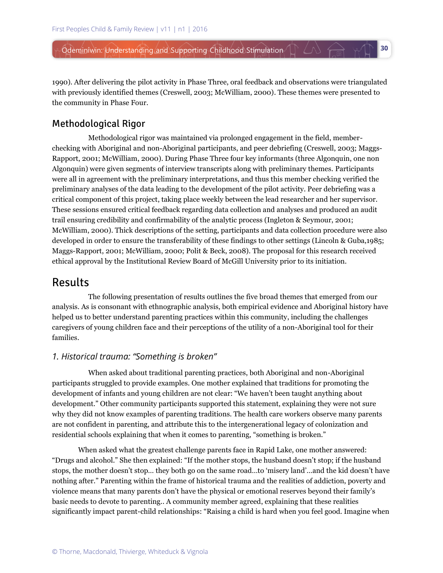1990). After delivering the pilot activity in Phase Three, oral feedback and observations were triangulated with previously identified themes (Creswell, 2003; McWilliam, 2000). These themes were presented to the community in Phase Four.

**30**

### **Methodological Rigor**

Methodological rigor was maintained via prolonged engagement in the field, memberchecking with Aboriginal and non-Aboriginal participants, and peer debriefing (Creswell, 2003; Maggs-Rapport, 2001; McWilliam, 2000). During Phase Three four key informants (three Algonquin, one non Algonquin) were given segments of interview transcripts along with preliminary themes. Participants were all in agreement with the preliminary interpretations, and thus this member checking verified the preliminary analyses of the data leading to the development of the pilot activity. Peer debriefing was a critical component of this project, taking place weekly between the lead researcher and her supervisor. These sessions ensured critical feedback regarding data collection and analyses and produced an audit trail ensuring credibility and confirmability of the analytic process (Ingleton & Seymour, 2001; McWilliam, 2000). Thick descriptions of the setting, participants and data collection procedure were also developed in order to ensure the transferability of these findings to other settings (Lincoln & Guba,1985; Maggs-Rapport, 2001; McWilliam, 2000; Polit & Beck, 2008). The proposal for this research received ethical approval by the Institutional Review Board of McGill University prior to its initiation.

# **Results**

The following presentation of results outlines the five broad themes that emerged from our analysis. As is consonant with ethnographic analysis, both empirical evidence and Aboriginal history have helped us to better understand parenting practices within this community, including the challenges caregivers of young children face and their perceptions of the utility of a non-Aboriginal tool for their families.

### *1. Historical trauma: "Something is broken"*

When asked about traditional parenting practices, both Aboriginal and non-Aboriginal participants struggled to provide examples. One mother explained that traditions for promoting the development of infants and young children are not clear: "We haven't been taught anything about development." Other community participants supported this statement, explaining they were not sure why they did not know examples of parenting traditions. The health care workers observe many parents are not confident in parenting, and attribute this to the intergenerational legacy of colonization and residential schools explaining that when it comes to parenting, "something is broken."

When asked what the greatest challenge parents face in Rapid Lake, one mother answered: "Drugs and alcohol." She then explained: "If the mother stops, the husband doesn't stop; if the husband stops, the mother doesn't stop… they both go on the same road…to 'misery land'…and the kid doesn't have nothing after." Parenting within the frame of historical trauma and the realities of addiction, poverty and violence means that many parents don't have the physical or emotional reserves beyond their family's basic needs to devote to parenting.. A community member agreed, explaining that these realities significantly impact parent-child relationships: "Raising a child is hard when you feel good. Imagine when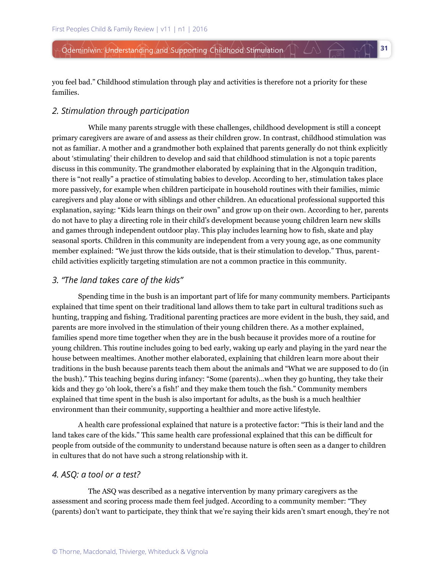you feel bad." Childhood stimulation through play and activities is therefore not a priority for these families.

**31**

 $\triangle$   $\ominus$   $\uparrow$ 

#### *2. Stimulation through participation*

While many parents struggle with these challenges, childhood development is still a concept primary caregivers are aware of and assess as their children grow. In contrast, childhood stimulation was not as familiar. A mother and a grandmother both explained that parents generally do not think explicitly about 'stimulating' their children to develop and said that childhood stimulation is not a topic parents discuss in this community. The grandmother elaborated by explaining that in the Algonquin tradition, there is "not really" a practice of stimulating babies to develop. According to her, stimulation takes place more passively, for example when children participate in household routines with their families, mimic caregivers and play alone or with siblings and other children. An educational professional supported this explanation, saying: "Kids learn things on their own" and grow up on their own. According to her, parents do not have to play a directing role in their child's development because young children learn new skills and games through independent outdoor play. This play includes learning how to fish, skate and play seasonal sports. Children in this community are independent from a very young age, as one community member explained: "We just throw the kids outside, that is their stimulation to develop." Thus, parentchild activities explicitly targeting stimulation are not a common practice in this community.

### *3. "The land takes care of the kids"*

Spending time in the bush is an important part of life for many community members. Participants explained that time spent on their traditional land allows them to take part in cultural traditions such as hunting, trapping and fishing. Traditional parenting practices are more evident in the bush, they said, and parents are more involved in the stimulation of their young children there. As a mother explained, families spend more time together when they are in the bush because it provides more of a routine for young children. This routine includes going to bed early, waking up early and playing in the yard near the house between mealtimes. Another mother elaborated, explaining that children learn more about their traditions in the bush because parents teach them about the animals and "What we are supposed to do (in the bush)." This teaching begins during infancy: "Some (parents)…when they go hunting, they take their kids and they go 'oh look, there's a fish!' and they make them touch the fish." Community members explained that time spent in the bush is also important for adults, as the bush is a much healthier environment than their community, supporting a healthier and more active lifestyle.

A health care professional explained that nature is a protective factor: "This is their land and the land takes care of the kids." This same health care professional explained that this can be difficult for people from outside of the community to understand because nature is often seen as a danger to children in cultures that do not have such a strong relationship with it.

#### *4. ASQ: a tool or a test?*

The ASQ was described as a negative intervention by many primary caregivers as the assessment and scoring process made them feel judged. According to a community member: "They (parents) don't want to participate, they think that we're saying their kids aren't smart enough, they're not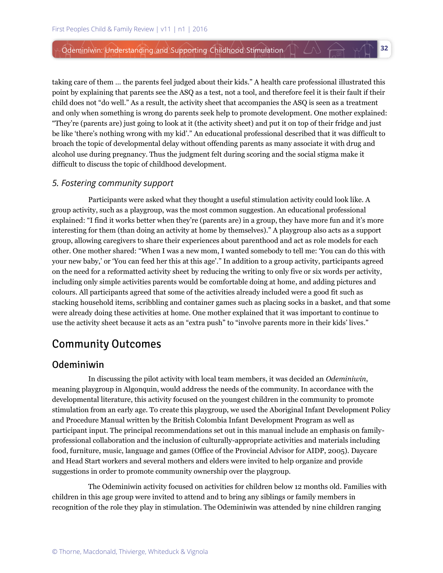taking care of them … the parents feel judged about their kids." A health care professional illustrated this point by explaining that parents see the ASQ as a test, not a tool, and therefore feel it is their fault if their child does not "do well." As a result, the activity sheet that accompanies the ASQ is seen as a treatment and only when something is wrong do parents seek help to promote development. One mother explained: "They're (parents are) just going to look at it (the activity sheet) and put it on top of their fridge and just be like 'there's nothing wrong with my kid'." An educational professional described that it was difficult to broach the topic of developmental delay without offending parents as many associate it with drug and alcohol use during pregnancy. Thus the judgment felt during scoring and the social stigma make it difficult to discuss the topic of childhood development.

**32**

 $\triangle$   $\ominus$   $\uparrow$ 

### *5. Fostering community support*

Participants were asked what they thought a useful stimulation activity could look like. A group activity, such as a playgroup, was the most common suggestion. An educational professional explained: "I find it works better when they're (parents are) in a group, they have more fun and it's more interesting for them (than doing an activity at home by themselves)." A playgroup also acts as a support group, allowing caregivers to share their experiences about parenthood and act as role models for each other. One mother shared: "When I was a new mom, I wanted somebody to tell me: 'You can do this with your new baby,' or 'You can feed her this at this age'." In addition to a group activity, participants agreed on the need for a reformatted activity sheet by reducing the writing to only five or six words per activity, including only simple activities parents would be comfortable doing at home, and adding pictures and colours. All participants agreed that some of the activities already included were a good fit such as stacking household items, scribbling and container games such as placing socks in a basket, and that some were already doing these activities at home. One mother explained that it was important to continue to use the activity sheet because it acts as an "extra push" to "involve parents more in their kids' lives."

# **Community Outcomes**

### Odeminiwin

In discussing the pilot activity with local team members, it was decided an *Odeminiwin*, meaning playgroup in Algonquin, would address the needs of the community. In accordance with the developmental literature, this activity focused on the youngest children in the community to promote stimulation from an early age. To create this playgroup, we used the Aboriginal Infant Development Policy and Procedure Manual written by the British Colombia Infant Development Program as well as participant input. The principal recommendations set out in this manual include an emphasis on familyprofessional collaboration and the inclusion of culturally-appropriate activities and materials including food, furniture, music, language and games (Office of the Provincial Advisor for AIDP, 2005). Daycare and Head Start workers and several mothers and elders were invited to help organize and provide suggestions in order to promote community ownership over the playgroup.

The Odeminiwin activity focused on activities for children below 12 months old. Families with children in this age group were invited to attend and to bring any siblings or family members in recognition of the role they play in stimulation. The Odeminiwin was attended by nine children ranging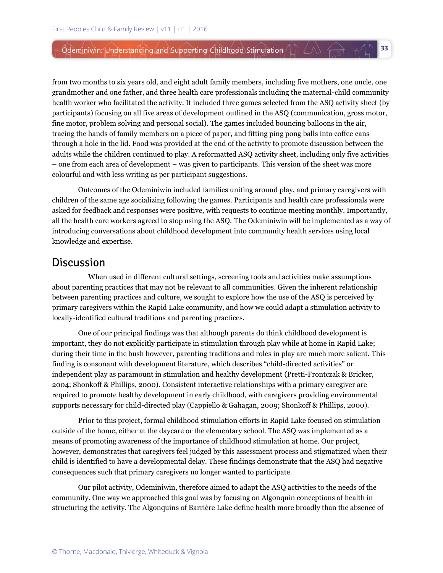from two months to six years old, and eight adult family members, including five mothers, one uncle, one grandmother and one father, and three health care professionals including the maternal-child community health worker who facilitated the activity. It included three games selected from the ASQ activity sheet (by participants) focusing on all five areas of development outlined in the ASQ (communication, gross motor, fine motor, problem solving and personal social). The games included bouncing balloons in the air, tracing the hands of family members on a piece of paper, and fitting ping pong balls into coffee cans through a hole in the lid. Food was provided at the end of the activity to promote discussion between the adults while the children continued to play. A reformatted ASQ activity sheet, including only five activities – one from each area of development – was given to participants. This version of the sheet was more colourful and with less writing as per participant suggestions.

**33**

W A WT

Outcomes of the Odeminiwin included families uniting around play, and primary caregivers with children of the same age socializing following the games. Participants and health care professionals were asked for feedback and responses were positive, with requests to continue meeting monthly. Importantly, all the health care workers agreed to stop using the ASQ. The Odeminiwin will be implemented as a way of introducing conversations about childhood development into community health services using local knowledge and expertise.

### **Discussion**

When used in different cultural settings, screening tools and activities make assumptions about parenting practices that may not be relevant to all communities. Given the inherent relationship between parenting practices and culture, we sought to explore how the use of the ASQ is perceived by primary caregivers within the Rapid Lake community, and how we could adapt a stimulation activity to locally-identified cultural traditions and parenting practices.

One of our principal findings was that although parents do think childhood development is important, they do not explicitly participate in stimulation through play while at home in Rapid Lake; during their time in the bush however, parenting traditions and roles in play are much more salient. This finding is consonant with development literature, which describes "child-directed activities" or independent play as paramount in stimulation and healthy development (Pretti-Frontczak & Bricker, 2004; Shonkoff & Phillips, 2000). Consistent interactive relationships with a primary caregiver are required to promote healthy development in early childhood, with caregivers providing environmental supports necessary for child-directed play (Cappiello & Gahagan, 2009; Shonkoff & Phillips, 2000).

Prior to this project, formal childhood stimulation efforts in Rapid Lake focused on stimulation outside of the home, either at the daycare or the elementary school. The ASQ was implemented as a means of promoting awareness of the importance of childhood stimulation at home. Our project, however, demonstrates that caregivers feel judged by this assessment process and stigmatized when their child is identified to have a developmental delay. These findings demonstrate that the ASQ had negative consequences such that primary caregivers no longer wanted to participate.

Our pilot activity, Odeminiwin, therefore aimed to adapt the ASQ activities to the needs of the community. One way we approached this goal was by focusing on Algonquin conceptions of health in structuring the activity. The Algonquins of Barrière Lake define health more broadly than the absence of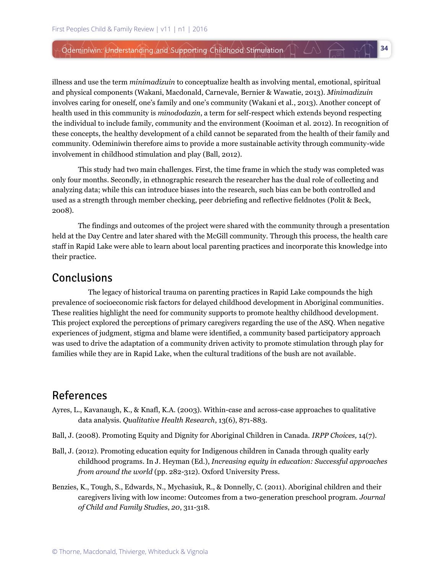illness and use the term *minimadizuin* to conceptualize health as involving mental, emotional, spiritual and physical components (Wakani, Macdonald, Carnevale, Bernier & Wawatie, 2013). *Minimadizuin* involves caring for oneself, one's family and one's community (Wakani et al., 2013). Another concept of health used in this community is *minododazin*, a term for self-respect which extends beyond respecting the individual to include family, community and the environment (Kooiman et al. 2012). In recognition of these concepts, the healthy development of a child cannot be separated from the health of their family and community. Odeminiwin therefore aims to provide a more sustainable activity through community-wide involvement in childhood stimulation and play (Ball, 2012).

**34**

 $\triangle$   $\triangle$   $\mathbb{R}$ 

This study had two main challenges. First, the time frame in which the study was completed was only four months. Secondly, in ethnographic research the researcher has the dual role of collecting and analyzing data; while this can introduce biases into the research, such bias can be both controlled and used as a strength through member checking, peer debriefing and reflective fieldnotes (Polit & Beck, 2008).

The findings and outcomes of the project were shared with the community through a presentation held at the Day Centre and later shared with the McGill community. Through this process, the health care staff in Rapid Lake were able to learn about local parenting practices and incorporate this knowledge into their practice.

## Conclusions

The legacy of historical trauma on parenting practices in Rapid Lake compounds the high prevalence of socioeconomic risk factors for delayed childhood development in Aboriginal communities. These realities highlight the need for community supports to promote healthy childhood development. This project explored the perceptions of primary caregivers regarding the use of the ASQ. When negative experiences of judgment, stigma and blame were identified, a community based participatory approach was used to drive the adaptation of a community driven activity to promote stimulation through play for families while they are in Rapid Lake, when the cultural traditions of the bush are not available.

# **References**

- Ayres, L., Kavanaugh, K., & Knafl, K.A. (2003). Within-case and across-case approaches to qualitative data analysis. *Qualitative Health Research*, 13(6), 871-883.
- Ball, J. (2008). Promoting Equity and Dignity for Aboriginal Children in Canada. *IRPP Choices,* 14(7).
- Ball, J. (2012). Promoting education equity for Indigenous children in Canada through quality early childhood programs. In J. Heyman (Ed.), *Increasing equity in education: Successful approaches from around the world* (pp. 282-312). Oxford University Press.
- Benzies, K., Tough, S., Edwards, N., Mychasiuk, R., & Donnelly, C. (2011). Aboriginal children and their caregivers living with low income: Outcomes from a two-generation preschool program. *Journal of Child and Family Studies*, *20*, 311-318.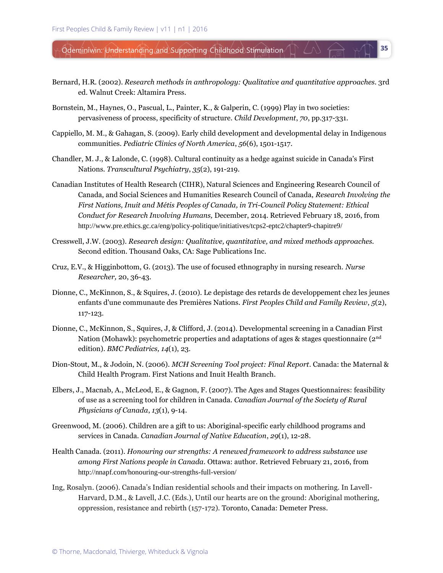Bernard, H.R. (2002). *Research methods in anthropology: Qualitative and quantitative approaches.* 3rd ed. Walnut Creek: Altamira Press.

- Bornstein, M., Haynes, O., Pascual, L., Painter, K., & Galperin, C. (1999) Play in two societies: pervasiveness of process, specificity of structure. *Child Development*, *70*, pp.317-331.
- Cappiello, M. M., & Gahagan, S. (2009). Early child development and developmental delay in Indigenous communities. *Pediatric Clinics of North America*, *56*(6), 1501-1517.
- Chandler, M. J., & Lalonde, C. (1998). Cultural continuity as a hedge against suicide in Canada's First Nations. *Transcultural Psychiatry*, *35*(2), 191-219.
- Canadian Institutes of Health Research (CIHR), Natural Sciences and Engineering Research Council of Canada, and Social Sciences and Humanities Research Council of Canada, *Research Involving the First Nations, Inuit and Métis Peoples of Canada, in Tri-Council Policy Statement: Ethical Conduct for Research Involving Humans,* December, 2014. Retrieved February 18, 2016, from http://www.pre.ethics.gc.ca/eng/policy-politique/initiatives/tcps2-eptc2/chapter9-chapitre9/
- Cresswell, J.W. (2003). *Research design: Qualitative, quantitative, and mixed methods approaches.*  Second edition. Thousand Oaks, CA: Sage Publications Inc.
- Cruz, E.V., & Higginbottom, G. (2013). The use of focused ethnography in nursing research. *Nurse Researcher,* 20, 36-43.
- Dionne, C., McKinnon, S., & Squires, J. (2010). Le depistage des retards de developpement chez les jeunes enfants d'une communaute des Premières Nations. *First Peoples Child and Family Review*, *5*(2), 117-123.
- Dionne, C., McKinnon, S., Squires, J, & Clifford, J. (2014). Developmental screening in a Canadian First Nation (Mohawk): psychometric properties and adaptations of ages & stages questionnaire (2nd edition). *BMC Pediatrics, 14*(1), 23.
- Dion-Stout, M., & Jodoin, N. (2006). *MCH Screening Tool project: Final Report*. Canada: the Maternal & Child Health Program. First Nations and Inuit Health Branch.
- Elbers, J., Macnab, A., McLeod, E., & Gagnon, F. (2007). The Ages and Stages Questionnaires: feasibility of use as a screening tool for children in Canada. *Canadian Journal of the Society of Rural Physicians of Canada*, *13*(1), 9-14.
- Greenwood, M. (2006). Children are a gift to us: Aboriginal-specific early childhood programs and services in Canada. *Canadian Journal of Native Education*, *29*(1), 12-28.
- Health Canada. (2011). *Honouring our strengths: A renewed framework to address substance use among First Nations people in Canada.* Ottawa: author. Retrieved February 21, 2016, from http://nnapf.com/honouring-our-strengths-full-version/
- Ing, Rosalyn. (2006). Canada's Indian residential schools and their impacts on mothering. In Lavell-Harvard, D.M., & Lavell, J.C. (Eds.), Until our hearts are on the ground: Aboriginal mothering, oppression, resistance and rebirth (157-172). Toronto, Canada: Demeter Press.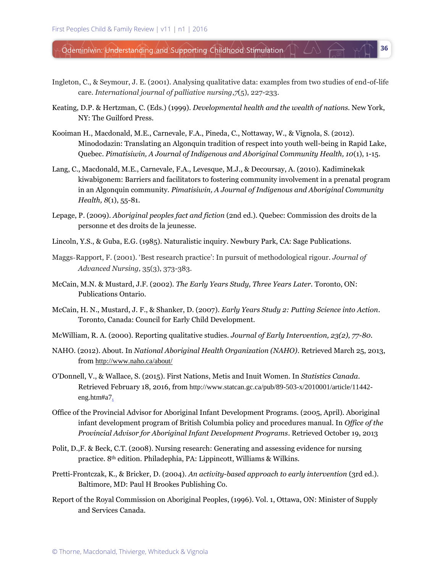Ingleton, C., & Seymour, J. E. (2001). Analysing qualitative data: examples from two studies of end-of-life care. *International journal of palliative nursing*,*7*(5), 227-233.

- Keating, D.P. & Hertzman, C. (Eds.) (1999). *Developmental health and the wealth of nations.* New York, NY: The Guilford Press.
- Kooiman H., Macdonald, M.E., Carnevale, F.A., Pineda, C., Nottaway, W., & Vignola, S. (2012). Minododazin: Translating an Algonquin tradition of respect into youth well-being in Rapid Lake, Quebec. *Pimatisiwin, A Journal of Indigenous and Aboriginal Community Health, 10*(1), 1-15.
- Lang, C., Macdonald, M.E., Carnevale, F.A., Levesque, M.J., & Decoursay, A. (2010). Kadiminekak kiwabigonem: Barriers and facilitators to fostering community involvement in a prenatal program in an Algonquin community. *Pimatisiwin, A Journal of Indigenous and Aboriginal Community Health, 8*(1), 55-81.
- Lepage, P. (2009). *Aboriginal peoples fact and fiction* (2nd ed.). Quebec: Commission des droits de la personne et des droits de la jeunesse.
- Lincoln, Y.S., & Guba, E.G. (1985). Naturalistic inquiry. Newbury Park, CA: Sage Publications.
- Maggs‐Rapport, F. (2001). 'Best research practice': In pursuit of methodological rigour. *Journal of Advanced Nursing,* 35(3), 373-383.
- McCain, M.N. & Mustard, J.F. (2002). *The Early Years Study, Three Years Later.* Toronto, ON: Publications Ontario.
- McCain, H. N., Mustard, J. F., & Shanker, D. (2007). *Early Years Study 2: Putting Science into Action*. Toronto, Canada: Council for Early Child Development.
- McWilliam, R. A. (2000). Reporting qualitative studies. *Journal of Early Intervention, 23(2), 77-80.*
- NAHO. (2012). About. In *National Aboriginal Health Organization (NAHO)*. Retrieved March 25, 2013, from <http://www.naho.ca/about/>
- O'Donnell, V., & Wallace, S. (2015). First Nations, Metis and Inuit Women. In *Statistics Canada*. Retrieved February 18, 2016, from http://www.statcan.gc.ca/pub/89-503-x/2010001/article/11442 eng.htm#a7.
- Office of the Provincial Advisor for Aboriginal Infant Development Programs. (2005, April). Aboriginal infant development program of British Columbia policy and procedures manual. In *Office of the Provincial Advisor for Aboriginal Infant Development Programs*. Retrieved October 19, 2013
- Polit, D.,F. & Beck, C.T. (2008). Nursing research: Generating and assessing evidence for nursing practice. 8th edition. Philadephia, PA: Lippincott, Williams & Wilkins.
- Pretti-Frontczak, K., & Bricker, D. (2004). *An activity-based approach to early intervention* (3rd ed.). Baltimore, MD: Paul H Brookes Publishing Co.
- Report of the Royal Commission on Aboriginal Peoples, (1996). Vol. 1, Ottawa, ON: Minister of Supply and Services Canada.